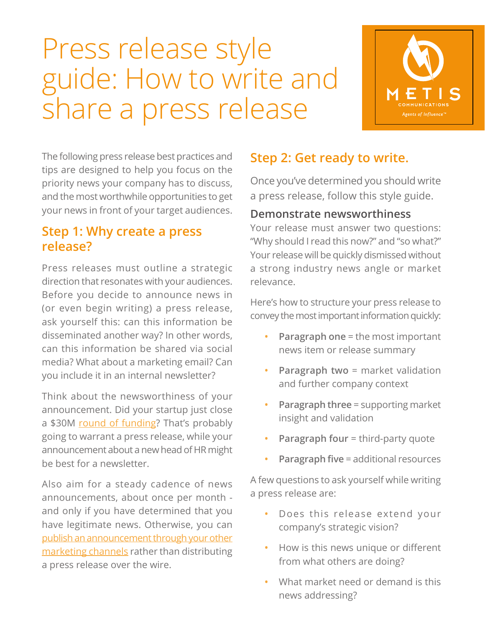# Press release style guide: How to write and share a press release



The following press release best practices and tips are designed to help you focus on the priority news your company has to discuss, and the most worthwhile opportunities to get your news in front of your target audiences.

# **Step 1: Why create a press release?**

Press releases must outline a strategic direction that resonates with your audiences. Before you decide to announce news in (or even begin writing) a press release, ask yourself this: can this information be disseminated another way? In other words, can this information be shared via social media? What about a marketing email? Can you include it in an internal newsletter?

Think about the newsworthiness of your announcement. Did your startup just close a \$30[M round of funding? T](http://www.metiscomm.com/checklist/6-steps-to-make-the-most-of-your-funding-news)hat's probably going to warrant a press release, while your announcement about a new head of HR might be best for a newsletter.

Also aim for a steady cadence of news announcements, about once per month and only if you have determined that you have legitimate news. Otherwise, you can [publish an announcement through your other](http://www.metiscomm.com/metis-blog/breaking-press-releases-not-the-only-or-always-best-way-to-announce-news)  marketing channels rather than distributing a press release over the wire.

# **Step 2: Get ready to write.**

Once you've determined you should write a press release, follow this style guide.

#### **Demonstrate newsworthiness**

Your release must answer two questions: "Why should I read this now?" and "so what?" Your release will be quickly dismissed without a strong industry news angle or market relevance.

Here's how to structure your press release to convey the most important information quickly:

- **• Paragraph one** = the most important news item or release summary
- **• Paragraph two** = market validation and further company context
- **• Paragraph three** = supporting market insight and validation
- **• Paragraph four** = third-party quote
- **• Paragraph five** = additional resources

A few questions to ask yourself while writing a press release are:

- **•** Does this release extend your company's strategic vision?
- **•** How is this news unique or different from what others are doing?
- **•** What market need or demand is this news addressing?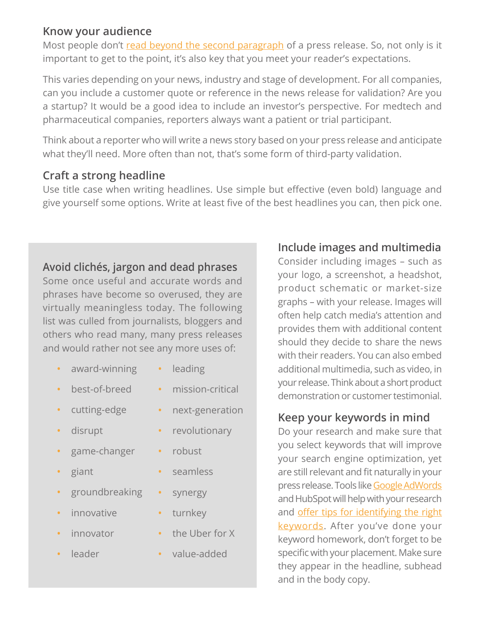#### **Know your audience**

Most people don'[t read beyond the second paragraph o](http://www.metiscomm.com/metis-blog/save-yourself-and-your-customers-from-boring-press-releases)f a press release. So, not only is it important to get to the point, it's also key that you meet your reader's expectations.

This varies depending on your news, industry and stage of development. For all companies, can you include a customer quote or reference in the news release for validation? Are you a startup? It would be a good idea to include an investor's perspective. For medtech and pharmaceutical companies, reporters always want a patient or trial participant.

Think about a reporter who will write a news story based on your press release and anticipate what they'll need. More often than not, that's some form of third-party validation.

#### **Craft a strong headline**

Use title case when writing headlines. Use simple but effective (even bold) language and give yourself some options. Write at least five of the best headlines you can, then pick one.

#### **Avoid clichés, jargon and dead phrases**

Some once useful and accurate words and phrases have become so overused, they are virtually meaningless today. The following list was culled from journalists, bloggers and others who read many, many press releases and would rather not see any more uses of:

- **•** award-winning
- **•** best-of-breed
- **•** cutting-edge
- **•** disrupt
- **•** game-changer
- **•** giant
- **•** groundbreaking
- **•** innovative
- **•** innovator
- **•** leader
- **•** leading
	- **•** mission-critical
	- **•** next-generation
	- **•** revolutionary
	- **•** robust
	- **•** seamless
- **•** synergy
- **•** turnkey
- **•** the Uber for X
- **•** value-added

## **Include images and multimedia**

Consider including images – such as your logo, a screenshot, a headshot, product schematic or market-size graphs – with your release. Images will often help catch media's attention and provides them with additional content should they decide to share the news with their readers. You can also embed additional multimedia, such as video, in your release. Think about a short product demonstration or customer testimonial.

#### **Keep your keywords in mind**

Do your research and make sure that you select keywords that will improve your search engine optimization, yet are still relevant and fit naturally in your press release. Tools lik[e Google AdWords](https://support.google.com/adwords/answer/2453981?hl=en) and HubSpot will help with your research and offer tips for [identifying](https://blog.hubspot.com/blog/tabid/6307/bid/22842/4-Helpful-Tools-for-Identifying-the-Right-Keywords.aspx?_ga=2.210049106.651399370.1522951732-1848338541.1514911783) the right [keywords.](https://blog.hubspot.com/blog/tabid/6307/bid/22842/4-Helpful-Tools-for-Identifying-the-Right-Keywords.aspx?_ga=2.210049106.651399370.1522951732-1848338541.1514911783) After you've done your keyword homework, don't forget to be specific with your placement. Make sure they appear in the headline, subhead and in the body copy.